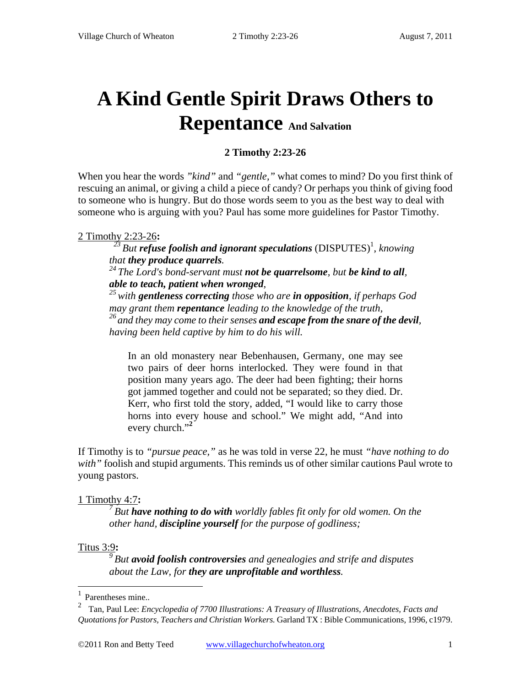# **A Kind Gentle Spirit Draws Others to Repentance And Salvation**

# **2 Timothy 2:23-26**

When you hear the words *"kind"* and *"gentle,"* what comes to mind? Do you first think of rescuing an animal, or giving a child a piece of candy? Or perhaps you think of giving food to someone who is hungry. But do those words seem to you as the best way to deal with someone who is arguing with you? Paul has some more guidelines for Pastor Timothy.

### 2 Timothy 2:23-26**:**

<sup>23</sup> But **refuse foolish and ignorant speculations** (DISPUTES)<sup>1</sup>, knowing

*that they produce quarrels. 24 The Lord's bond-servant must not be quarrelsome, but be kind to all,* 

*able to teach, patient when wronged, 25 with gentleness correcting those who are in opposition, if perhaps God may grant them repentance leading to the knowledge of the truth, 26 and they may come to their senses and escape from the snare of the devil, having been held captive by him to do his will.* 

In an old monastery near Bebenhausen, Germany, one may see two pairs of deer horns interlocked. They were found in that position many years ago. The deer had been fighting; their horns got jammed together and could not be separated; so they died. Dr. Kerr, who first told the story, added, "I would like to carry those horns into every house and school." We might add, "And into every church."**<sup>2</sup>**

If Timothy is to *"pursue peace,"* as he was told in verse 22, he must *"have nothing to do with"* foolish and stupid arguments. This reminds us of other similar cautions Paul wrote to young pastors.

#### 1 Timothy 4:7**:**

*7 But have nothing to do with worldly fables fit only for old women. On the other hand, discipline yourself for the purpose of godliness;* 

#### Titus 3:9**:**

 $\overline{a}$ 

*9 But avoid foolish controversies and genealogies and strife and disputes about the Law, for they are unprofitable and worthless.* 

<sup>1</sup> Parentheses mine..

<sup>2</sup> Tan, Paul Lee: *Encyclopedia of 7700 Illustrations: A Treasury of Illustrations, Anecdotes, Facts and Quotations for Pastors, Teachers and Christian Workers.* Garland TX : Bible Communications, 1996, c1979.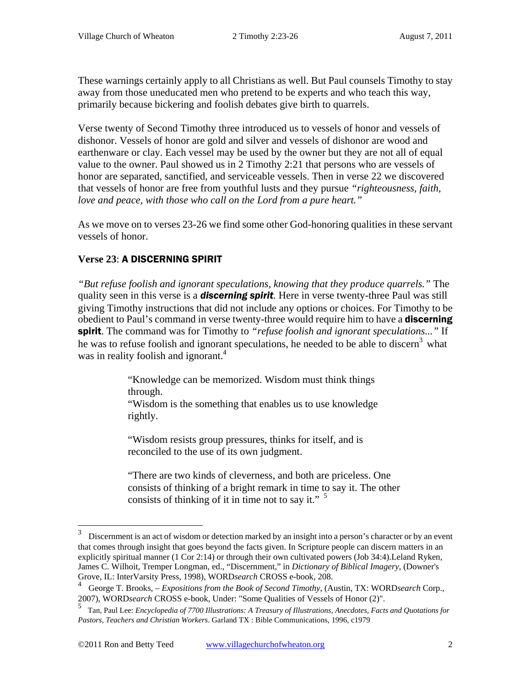These warnings certainly apply to all Christians as well. But Paul counsels Timothy to stay away from those uneducated men who pretend to be experts and who teach this way, primarily because bickering and foolish debates give birth to quarrels.

Verse twenty of Second Timothy three introduced us to vessels of honor and vessels of dishonor. Vessels of honor are gold and silver and vessels of dishonor are wood and earthenware or clay. Each vessel may be used by the owner but they are not all of equal value to the owner. Paul showed us in 2 Timothy 2:21 that persons who are vessels of honor are separated, sanctified, and serviceable vessels. Then in verse 22 we discovered that vessels of honor are free from youthful lusts and they pursue *"righteousness, faith, love and peace, with those who call on the Lord from a pure heart."* 

As we move on to verses 23-26 we find some other God-honoring qualities in these servant vessels of honor.

# **Verse 23**: A DISCERNING SPIRIT

 $\overline{a}$ 

*"But refuse foolish and ignorant speculations, knowing that they produce quarrels."* The quality seen in this verse is a *discerning spirit.* Here in verse twenty-three Paul was still giving Timothy instructions that did not include any options or choices. For Timothy to be obedient to Paul's command in verse twenty-three would require him to have a **discerning** spirit. The command was for Timothy to *"refuse foolish and ignorant speculations..."* If he was to refuse foolish and ignorant speculations, he needed to be able to discern<sup>3</sup> what was in reality foolish and ignorant.<sup>4</sup>

> "Knowledge can be memorized. Wisdom must think things through.

"Wisdom is the something that enables us to use knowledge rightly.

"Wisdom resists group pressures, thinks for itself, and is reconciled to the use of its own judgment.

"There are two kinds of cleverness, and both are priceless. One consists of thinking of a bright remark in time to say it. The other consists of thinking of it in time not to say it."  $\frac{5}{2}$ 

<sup>3</sup> Discernment is an act of wisdom or detection marked by an insight into a person's character or by an event that comes through insight that goes beyond the facts given. In Scripture people can discern matters in an explicitly spiritual manner (1 Cor 2:14) or through their own cultivated powers (Job 34:4).Leland Ryken, James C. Wilhoit, Tremper Longman, ed., "Discernment," in *Dictionary of Biblical Imagery*, (Downer's Grove, IL: InterVarsity Press, 1998), WORD*search* CROSS e-book, 208.

<sup>4</sup> George T. Brooks, *– Expositions from the Book of Second Timothy*, (Austin, TX: WORD*search* Corp., 2007), WORD*search* CROSS e-book, Under: "Some Qualities of Vessels of Honor (2)".

<sup>5</sup> Tan, Paul Lee: *Encyclopedia of 7700 Illustrations: A Treasury of Illustrations, Anecdotes, Facts and Quotations for Pastors, Teachers and Christian Workers*. Garland TX : Bible Communications, 1996, c1979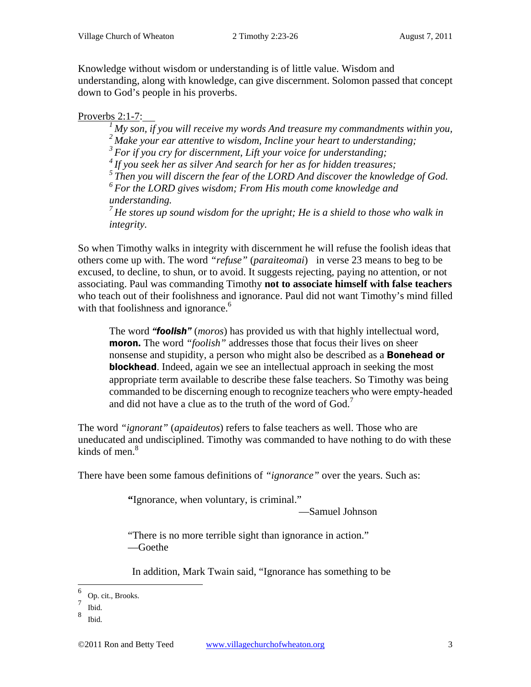Knowledge without wisdom or understanding is of little value. Wisdom and understanding, along with knowledge, can give discernment. Solomon passed that concept down to God's people in his proverbs.

# Proverbs 2:1-7:

*1 My son, if you will receive my words And treasure my commandments within you, 2 Make your ear attentive to wisdom, Incline your heart to understanding;* 

*3 For if you cry for discernment, Lift your voice for understanding;* 

*4 If you seek her as silver And search for her as for hidden treasures;* 

*5 Then you will discern the fear of the LORD And discover the knowledge of God.* 

*6 For the LORD gives wisdom; From His mouth come knowledge and understanding.* 

*7 He stores up sound wisdom for the upright; He is a shield to those who walk in integrity.* 

So when Timothy walks in integrity with discernment he will refuse the foolish ideas that others come up with. The word *"refuse"* (*paraiteomai*) in verse 23 means to beg to be excused, to decline, to shun, or to avoid. It suggests rejecting, paying no attention, or not associating. Paul was commanding Timothy **not to associate himself with false teachers**  who teach out of their foolishness and ignorance. Paul did not want Timothy's mind filled with that foolishness and ignorance.<sup>6</sup>

The word *"foolish"* (*moros*) has provided us with that highly intellectual word, moron. The word *"foolish"* addresses those that focus their lives on sheer nonsense and stupidity, a person who might also be described as a **Bonehead or blockhead**. Indeed, again we see an intellectual approach in seeking the most appropriate term available to describe these false teachers. So Timothy was being commanded to be discerning enough to recognize teachers who were empty-headed and did not have a clue as to the truth of the word of  $God.7$ 

The word *"ignorant"* (*apaideutos*) refers to false teachers as well. Those who are uneducated and undisciplined. Timothy was commanded to have nothing to do with these kinds of men. $8$ 

There have been some famous definitions of *"ignorance"* over the years. Such as:

**"**Ignorance, when voluntary, is criminal."

—Samuel Johnson

"There is no more terrible sight than ignorance in action." —Goethe

In addition, Mark Twain said, "Ignorance has something to be

 $\overline{a}$ 

<sup>6</sup> Op. cit., Brooks.

<sup>7</sup> Ibid.

<sup>8</sup> Ibid.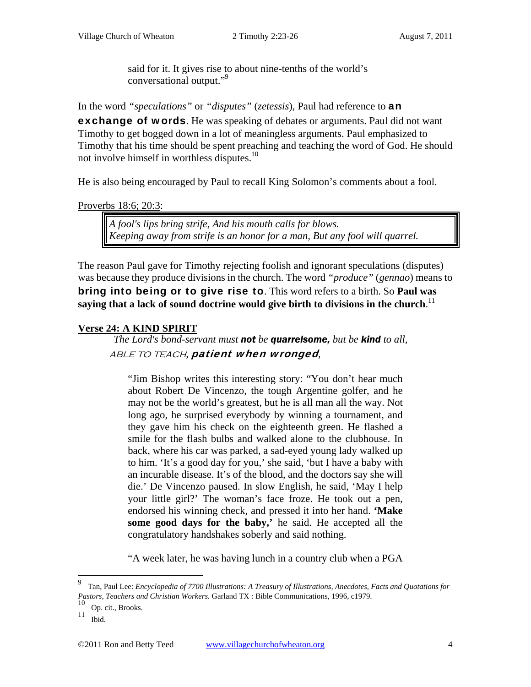said for it. It gives rise to about nine-tenths of the world's conversational output."9

In the word *"speculations"* or *"disputes"* (*zetessis*), Paul had reference to an **exchange of words**. He was speaking of debates or arguments. Paul did not want Timothy to get bogged down in a lot of meaningless arguments. Paul emphasized to Timothy that his time should be spent preaching and teaching the word of God. He should not involve himself in worthless disputes.10

He is also being encouraged by Paul to recall King Solomon's comments about a fool.

Proverbs 18:6; 20:3:

*A fool's lips bring strife, And his mouth calls for blows. Keeping away from strife is an honor for a man, But any fool will quarrel.* 

The reason Paul gave for Timothy rejecting foolish and ignorant speculations (disputes) was because they produce divisions in the church. The word *"produce"* (*gennao*) means to bring into being or to give rise to. This word refers to a birth. So **Paul was**  saying that a lack of sound doctrine would give birth to divisions in the church.  $^{\rm l1}$ 

# **Verse 24: A KIND SPIRIT**

*The Lord's bond-servant must not be quarrelsome, but be kind to all,*  able to teach*,* patient when wronged*,* 

"Jim Bishop writes this interesting story: "You don't hear much about Robert De Vincenzo, the tough Argentine golfer, and he may not be the world's greatest, but he is all man all the way. Not long ago, he surprised everybody by winning a tournament, and they gave him his check on the eighteenth green. He flashed a smile for the flash bulbs and walked alone to the clubhouse. In back, where his car was parked, a sad-eyed young lady walked up to him. 'It's a good day for you,' she said, 'but I have a baby with an incurable disease. It's of the blood, and the doctors say she will die.' De Vincenzo paused. In slow English, he said, 'May I help your little girl?' The woman's face froze. He took out a pen, endorsed his winning check, and pressed it into her hand. **'Make some good days for the baby,'** he said. He accepted all the congratulatory handshakes soberly and said nothing.

"A week later, he was having lunch in a country club when a PGA

 $\overline{a}$ 

<sup>9</sup> Tan, Paul Lee: *Encyclopedia of 7700 Illustrations: A Treasury of Illustrations, Anecdotes, Facts and Quotations for Pastors, Teachers and Christian Workers.* Garland TX : Bible Communications, 1996, c1979.

<sup>10</sup> Op. cit., Brooks.

 $11$  Ibid.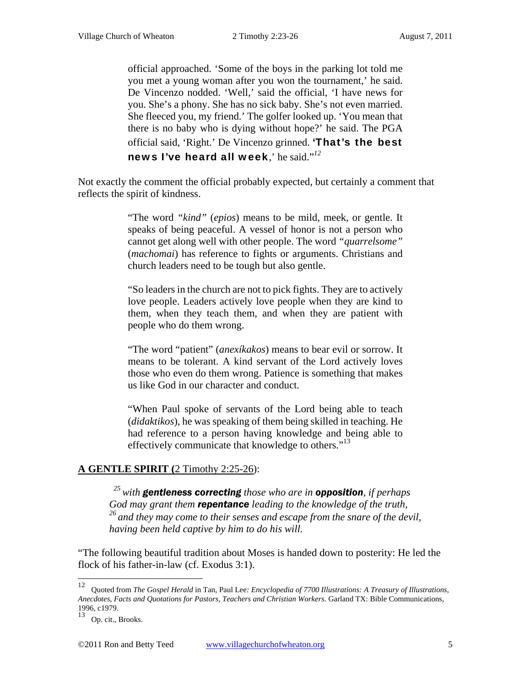official approached. 'Some of the boys in the parking lot told me you met a young woman after you won the tournament,' he said. De Vincenzo nodded. 'Well,' said the official, 'I have news for you. She's a phony. She has no sick baby. She's not even married. She fleeced you, my friend.' The golfer looked up. 'You mean that there is no baby who is dying without hope?' he said. The PGA official said, 'Right.' De Vincenzo grinned. 'That's the best news I've heard all week,' he said."*<sup>12</sup>*

Not exactly the comment the official probably expected, but certainly a comment that reflects the spirit of kindness.

> "The word *"kind"* (*epios*) means to be mild, meek, or gentle. It speaks of being peaceful. A vessel of honor is not a person who cannot get along well with other people. The word *"quarrelsome"*  (*machomai*) has reference to fights or arguments. Christians and church leaders need to be tough but also gentle.

> "So leaders in the church are not to pick fights. They are to actively love people. Leaders actively love people when they are kind to them, when they teach them, and when they are patient with people who do them wrong.

> "The word "patient" (*anexíkakos*) means to bear evil or sorrow. It means to be tolerant. A kind servant of the Lord actively loves those who even do them wrong. Patience is something that makes us like God in our character and conduct.

> "When Paul spoke of servants of the Lord being able to teach (*didaktikos*), he was speaking of them being skilled in teaching. He had reference to a person having knowledge and being able to effectively communicate that knowledge to others."<sup>13</sup>

## **A GENTLE SPIRIT (**2 Timothy 2:25-26):

*25 with gentleness correcting those who are in opposition, if perhaps God may grant them repentance leading to the knowledge of the truth, 26 and they may come to their senses and escape from the snare of the devil, having been held captive by him to do his will.* 

"The following beautiful tradition about Moses is handed down to posterity: He led the flock of his father-in-law (cf. Exodus 3:1).

<sup>12</sup> 12 Quoted from *The Gospel Herald* in Tan, Paul Lee*: Encyclopedia of 7700 Illustrations: A Treasury of Illustrations, Anecdotes, Facts and Quotations for Pastors, Teachers and Christian Workers.* Garland TX: Bible Communications, 1996, c1979.

<sup>13</sup> Op. cit., Brooks.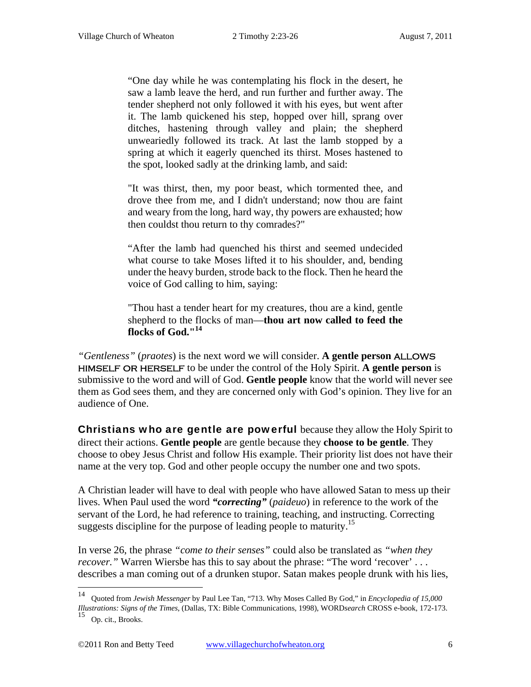"One day while he was contemplating his flock in the desert, he saw a lamb leave the herd, and run further and further away. The tender shepherd not only followed it with his eyes, but went after it. The lamb quickened his step, hopped over hill, sprang over ditches, hastening through valley and plain; the shepherd unweariedly followed its track. At last the lamb stopped by a spring at which it eagerly quenched its thirst. Moses hastened to the spot, looked sadly at the drinking lamb, and said:

"It was thirst, then, my poor beast, which tormented thee, and drove thee from me, and I didn't understand; now thou are faint and weary from the long, hard way, thy powers are exhausted; how then couldst thou return to thy comrades?"

"After the lamb had quenched his thirst and seemed undecided what course to take Moses lifted it to his shoulder, and, bending under the heavy burden, strode back to the flock. Then he heard the voice of God calling to him, saying:

"Thou hast a tender heart for my creatures, thou are a kind, gentle shepherd to the flocks of man—**thou art now called to feed the flocks of God."<sup>14</sup>**

*"Gentleness"* (*praotes*) is the next word we will consider. **A gentle person** allows himself or herself to be under the control of the Holy Spirit. **A gentle person** is submissive to the word and will of God. **Gentle people** know that the world will never see them as God sees them, and they are concerned only with God's opinion. They live for an audience of One.

**Christians who are gentle are powerful** because they allow the Holy Spirit to direct their actions. **Gentle people** are gentle because they **choose to be gentle**. They choose to obey Jesus Christ and follow His example. Their priority list does not have their name at the very top. God and other people occupy the number one and two spots.

A Christian leader will have to deal with people who have allowed Satan to mess up their lives. When Paul used the word *"correcting"* (*paideuo*) in reference to the work of the servant of the Lord, he had reference to training, teaching, and instructing. Correcting suggests discipline for the purpose of leading people to maturity.<sup>15</sup>

In verse 26, the phrase *"come to their senses"* could also be translated as *"when they recover.*" Warren Wiersbe has this to say about the phrase: "The word 'recover' ... describes a man coming out of a drunken stupor. Satan makes people drunk with his lies,

 $14$ 14 Quoted from *Jewish Messenger* by Paul Lee Tan, "713. Why Moses Called By God," in *Encyclopedia of 15,000 Illustrations: Signs of the Times*, (Dallas, TX: Bible Communications, 1998), WORD*search* CROSS e-book, 172-173. 15 Op. cit., Brooks.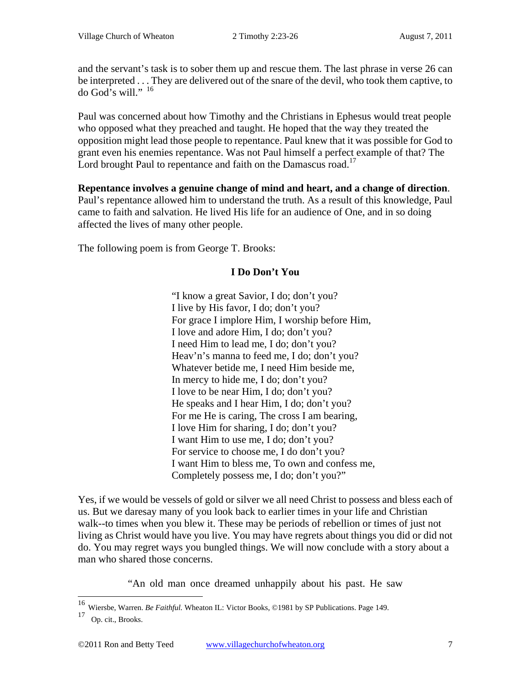and the servant's task is to sober them up and rescue them. The last phrase in verse 26 can be interpreted . . . They are delivered out of the snare of the devil, who took them captive, to do God's will." <sup>16</sup>

Paul was concerned about how Timothy and the Christians in Ephesus would treat people who opposed what they preached and taught. He hoped that the way they treated the opposition might lead those people to repentance. Paul knew that it was possible for God to grant even his enemies repentance. Was not Paul himself a perfect example of that? The Lord brought Paul to repentance and faith on the Damascus road.<sup>17</sup>

**Repentance involves a genuine change of mind and heart, and a change of direction**. Paul's repentance allowed him to understand the truth. As a result of this knowledge, Paul came to faith and salvation. He lived His life for an audience of One, and in so doing affected the lives of many other people.

The following poem is from George T. Brooks:

# **I Do Don't You**

"I know a great Savior, I do; don't you? I live by His favor, I do; don't you? For grace I implore Him, I worship before Him, I love and adore Him, I do; don't you? I need Him to lead me, I do; don't you? Heav'n's manna to feed me, I do; don't you? Whatever betide me, I need Him beside me, In mercy to hide me, I do; don't you? I love to be near Him, I do; don't you? He speaks and I hear Him, I do; don't you? For me He is caring, The cross I am bearing, I love Him for sharing, I do; don't you? I want Him to use me, I do; don't you? For service to choose me, I do don't you? I want Him to bless me, To own and confess me, Completely possess me, I do; don't you?"

Yes, if we would be vessels of gold or silver we all need Christ to possess and bless each of us. But we daresay many of you look back to earlier times in your life and Christian walk--to times when you blew it. These may be periods of rebellion or times of just not living as Christ would have you live. You may have regrets about things you did or did not do. You may regret ways you bungled things. We will now conclude with a story about a man who shared those concerns.

"An old man once dreamed unhappily about his past. He saw

 $\overline{a}$ 

<sup>16</sup> Wiersbe, Warren. *Be Faithful.* Wheaton IL: Victor Books, ©1981 by SP Publications. Page 149.

<sup>17</sup> Op. cit., Brooks.